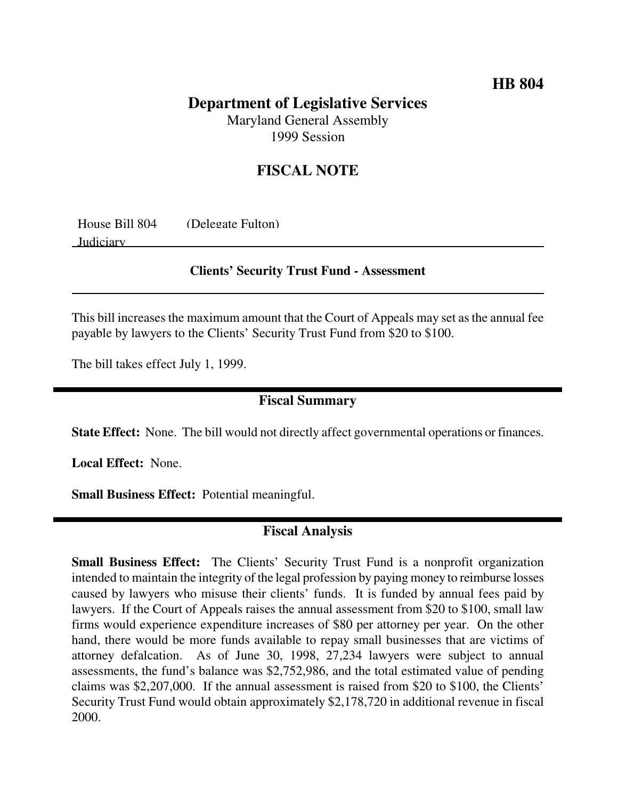## **HB 804**

# **Department of Legislative Services**

Maryland General Assembly 1999 Session

# **FISCAL NOTE**

| House Bill 804 | (Delegate Fulton) |
|----------------|-------------------|
| Judiciary      |                   |

#### **Clients' Security Trust Fund - Assessment**

This bill increases the maximum amount that the Court of Appeals may set as the annual fee payable by lawyers to the Clients' Security Trust Fund from \$20 to \$100.

The bill takes effect July 1, 1999.

### **Fiscal Summary**

**State Effect:** None. The bill would not directly affect governmental operations or finances.

**Local Effect:** None.

**Small Business Effect:** Potential meaningful.

## **Fiscal Analysis**

**Small Business Effect:** The Clients' Security Trust Fund is a nonprofit organization intended to maintain the integrity of the legal profession by paying money to reimburse losses caused by lawyers who misuse their clients' funds. It is funded by annual fees paid by lawyers. If the Court of Appeals raises the annual assessment from \$20 to \$100, small law firms would experience expenditure increases of \$80 per attorney per year. On the other hand, there would be more funds available to repay small businesses that are victims of attorney defalcation. As of June 30, 1998, 27,234 lawyers were subject to annual assessments, the fund's balance was \$2,752,986, and the total estimated value of pending claims was \$2,207,000. If the annual assessment is raised from \$20 to \$100, the Clients' Security Trust Fund would obtain approximately \$2,178,720 in additional revenue in fiscal 2000.